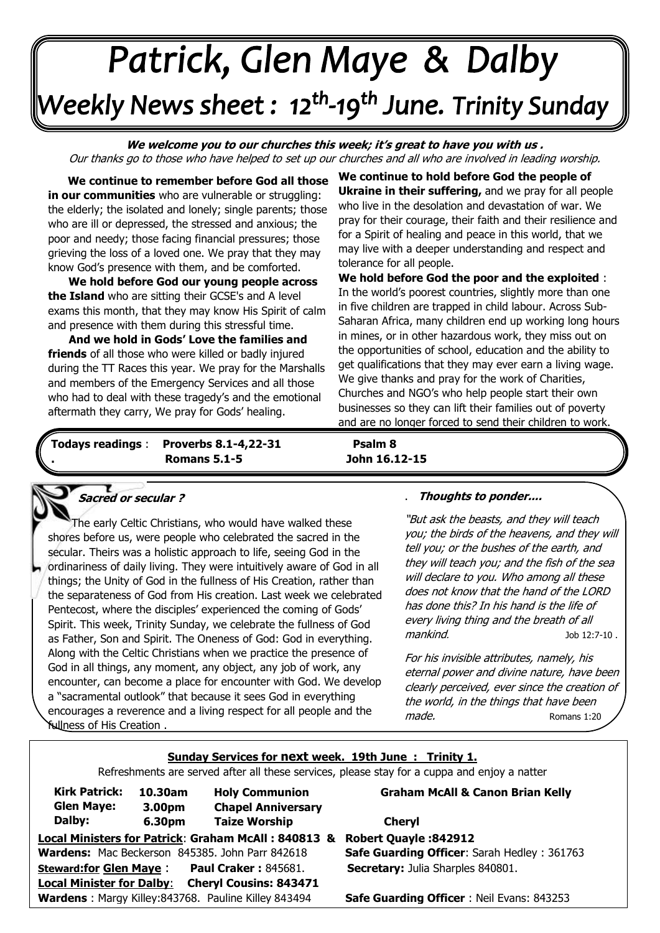# Patrick, Glen Maye & Dalby Weekly News sheet : 12<sup>th</sup>-19<sup>th</sup> June. Trinity Sunday --

**We welcome you to our churches this week; it's great to have you with us .**  Our thanks go to those who have helped to set up our churches and all who are involved in leading worship.

**. We continue to remember before God all those in our communities** who are vulnerable or struggling: the elderly; the isolated and lonely; single parents; those who are ill or depressed, the stressed and anxious; the poor and needy; those facing financial pressures; those grieving the loss of a loved one. We pray that they may know God's presence with them, and be comforted.

. **We hold before God our young people across the Island** who are sitting their GCSE's and A level exams this month, that they may know His Spirit of calm and presence with them during this stressful time.

 **And we hold in Gods' Love the families and friends** of all those who were killed or badly injured during the TT Races this year. We pray for the Marshalls and members of the Emergency Services and all those who had to deal with these tragedy's and the emotional aftermath they carry, We pray for Gods' healing.

**We continue to hold before God the people of Ukraine in their suffering,** and we pray for all people who live in the desolation and devastation of war. We pray for their courage, their faith and their resilience and for a Spirit of healing and peace in this world, that we may live with a deeper understanding and respect and tolerance for all people.

**We hold before God the poor and the exploited** : In the world's poorest countries, slightly more than one in five children are trapped in child labour. Across Sub-Saharan Africa, many children end up working long hours in mines, or in other hazardous work, they miss out on the opportunities of school, education and the ability to get qualifications that they may ever earn a living wage. We give thanks and pray for the work of Charities, Churches and NGO's who help people start their own businesses so they can lift their families out of poverty and are no longer forced to send their children to work.

**Todays readings** : **Proverbs 8.1-4,22-31 Psalm 8 . Romans 5.1-5 John 16.12-15**

٦

# **Sacred or secular ?**

١ shores before us, were people who celebrated the sacred in the  Spirit. This week, Trinity Sunday, we celebrate the fullness of God  Along with the Celtic Christians when we practice the presence of  God in all things, any moment, any object, any job of work, any  a "sacramental outlook" that because it sees God in everything  fullness of His Creation . The early Celtic Christians, who would have walked these secular. Theirs was a holistic approach to life, seeing God in the ordinariness of daily living. They were intuitively aware of God in all things; the Unity of God in the fullness of His Creation, rather than the separateness of God from His creation. Last week we celebrated Pentecost, where the disciples' experienced the coming of Gods' as Father, Son and Spirit. The Oneness of God: God in everything. encounter, can become a place for encounter with God. We develop encourages a reverence and a living respect for all people and the

### . **Thoughts to ponder....**

"But ask the beasts, and they will teach you; the birds of the heavens, and they will tell you; or the bushes of the earth, and they will teach you; and the fish of the sea will declare to you. Who among all these does not know that the hand of the LORD has done this? In his hand is the life of every living thing and the breath of all mankind. Job 12:7-10.

For his invisible attributes, namely, his eternal power and divine nature, have been clearly perceived, ever since the creation of the world, in the things that have been made. Romans 1:20

### **Sunday Services for next week. 19th June : Trinity 1.**

Refreshments are served after all these services, please stay for a cuppa and enjoy a natter

| <b>Kirk Patrick:</b>                                              |  | 10.30am |  | <b>Holy Communion</b> |                           |  |  |
|-------------------------------------------------------------------|--|---------|--|-----------------------|---------------------------|--|--|
| <b>Glen Maye:</b>                                                 |  | 3.00pm  |  |                       | <b>Chapel Anniversary</b> |  |  |
| Dalby:                                                            |  | 6.30pm  |  |                       | <b>Taize Worship</b>      |  |  |
| Local Ministers for Patrick: Graham McAll: 840813 8               |  |         |  |                       |                           |  |  |
| Wardens: Mac Beckerson 845385. John Parr 842618                   |  |         |  |                       |                           |  |  |
| <b>Paul Craker: 845681.</b><br><b>Steward:for Glen Maye:</b>      |  |         |  |                       |                           |  |  |
| <b>Local Minister for Dalby:</b><br><b>Cheryl Cousins: 843471</b> |  |         |  |                       |                           |  |  |
| Wardens: Margy Killey:843768. Pauline Killey 843494               |  |         |  |                       |                           |  |  |

#### **Graham McAll & Canon Brian Kelly**

**Local Ministers for Patrick**: **Graham McAll : 840813 & Robert Quayle :842912 Safe Guarding Officer: Sarah Hedley : 361763 Secretary:** Julia Sharples 840801. **Cheryl** 

**Safe Guarding Officer** : Neil Evans: 843253